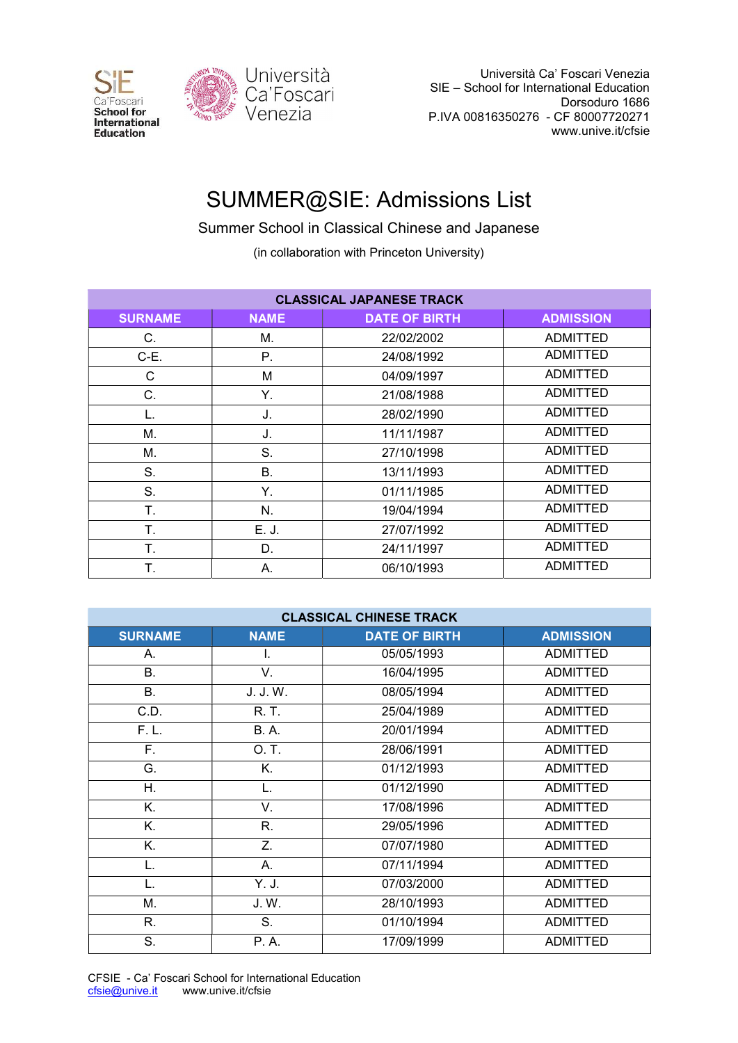



 Università Ca' Foscari Venezia SIE – School for International Education Dorsoduro 1686 P.IVA 00816350276 - CF 80007720271 www.unive.it/cfsie

## SUMMER@SIE: Admissions List

Summer School in Classical Chinese and Japanese

(in collaboration with Princeton University)

| <b>CLASSICAL JAPANESE TRACK</b> |             |                      |                  |  |  |
|---------------------------------|-------------|----------------------|------------------|--|--|
| <b>SURNAME</b>                  | <b>NAME</b> | <b>DATE OF BIRTH</b> | <b>ADMISSION</b> |  |  |
| C.                              | М.          | 22/02/2002           | <b>ADMITTED</b>  |  |  |
| C-E.                            | Р.          | 24/08/1992           | <b>ADMITTED</b>  |  |  |
| С                               | M           | 04/09/1997           | <b>ADMITTED</b>  |  |  |
| C.                              | Y.          | 21/08/1988           | <b>ADMITTED</b>  |  |  |
| L.                              | J.          | 28/02/1990           | <b>ADMITTED</b>  |  |  |
| М.                              | J.          | 11/11/1987           | <b>ADMITTED</b>  |  |  |
| М.                              | S.          | 27/10/1998           | <b>ADMITTED</b>  |  |  |
| S.                              | <b>B.</b>   | 13/11/1993           | <b>ADMITTED</b>  |  |  |
| S.                              | Υ.          | 01/11/1985           | <b>ADMITTED</b>  |  |  |
| T.                              | N.          | 19/04/1994           | <b>ADMITTED</b>  |  |  |
| Τ.                              | E. J.       | 27/07/1992           | <b>ADMITTED</b>  |  |  |
| Τ.                              | D.          | 24/11/1997           | <b>ADMITTED</b>  |  |  |
| Τ.                              | А.          | 06/10/1993           | <b>ADMITTED</b>  |  |  |

| <b>CLASSICAL CHINESE TRACK</b> |             |                      |                  |  |  |
|--------------------------------|-------------|----------------------|------------------|--|--|
| <b>SURNAME</b>                 | <b>NAME</b> | <b>DATE OF BIRTH</b> | <b>ADMISSION</b> |  |  |
| А.                             | I.          | 05/05/1993           | <b>ADMITTED</b>  |  |  |
| <b>B.</b>                      | V.          | 16/04/1995           | <b>ADMITTED</b>  |  |  |
| <b>B.</b>                      | J. J. W.    | 08/05/1994           | <b>ADMITTED</b>  |  |  |
| C.D.                           | R. T.       | 25/04/1989           | <b>ADMITTED</b>  |  |  |
| F. L.                          | <b>B.A.</b> | 20/01/1994           | <b>ADMITTED</b>  |  |  |
| F.                             | O.T.        | 28/06/1991           | <b>ADMITTED</b>  |  |  |
| G.                             | Κ.          | 01/12/1993           | <b>ADMITTED</b>  |  |  |
| Η.                             | L.          | 01/12/1990           | <b>ADMITTED</b>  |  |  |
| Κ.                             | V.          | 17/08/1996           | <b>ADMITTED</b>  |  |  |
| Κ.                             | R.          | 29/05/1996           | ADMITTED         |  |  |
| Κ.                             | Z.          | 07/07/1980           | <b>ADMITTED</b>  |  |  |
| L.                             | А.          | 07/11/1994           | <b>ADMITTED</b>  |  |  |
| L.                             | Y. J.       | 07/03/2000           | <b>ADMITTED</b>  |  |  |
| M.                             | J. W.       | 28/10/1993           | <b>ADMITTED</b>  |  |  |
| R.                             | S.          | 01/10/1994           | <b>ADMITTED</b>  |  |  |
| S.                             | P. A.       | 17/09/1999           | <b>ADMITTED</b>  |  |  |